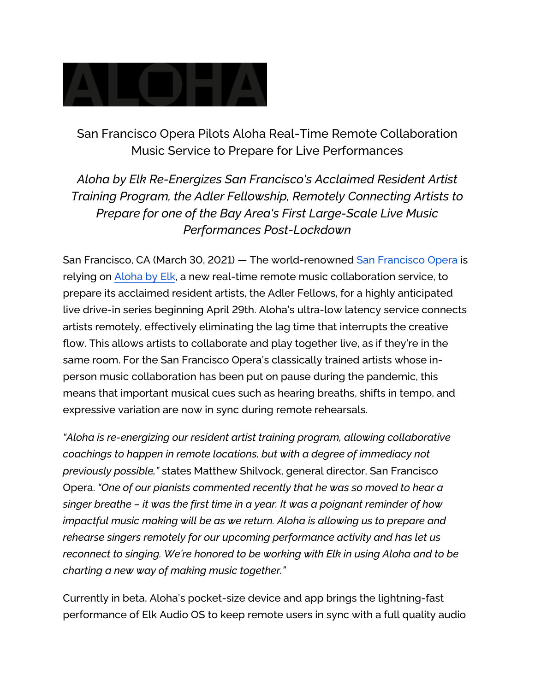

San Francisco Opera Pilots Aloha Real-Time Remote Collaboration Music Service to Prepare for Live Performances

*Aloha by Elk Re-Energizes San Francisco's Acclaimed Resident Artist Training Program, the Adler Fellowship, Remotely Connecting Artists to Prepare for one of the Bay Area's First Large-Scale Live Music Performances Post-Lockdown*

San Francisco, CA (March 30, 2021) — The world-renowned [San Francisco Opera](https://sfopera.com/) is relying on [Aloha by](https://alohabyelk.com/) [Elk,](https://alohabyelk.com/) a new real-time remote music collaboration service, to prepare its acclaimed resident artists, the Adler Fellows, for a highly anticipated live drive-in series beginning April 29th. Aloha's ultra-low latency service connects artists remotely, effectively eliminating the lag time that interrupts the creative flow. This allows artists to collaborate and play together live, as if they're in the same room. For the San Francisco Opera's classically trained artists whose inperson music collaboration has been put on pause during the pandemic, this means that important musical cues such as hearing breaths, shifts in tempo, and expressive variation are now in sync during remote rehearsals.

*"Aloha is re-energizing our resident artist training program, allowing collaborative coachings to happen in remote locations, but with a degree of immediacy not previously possible,"* states Matthew Shilvock, general director, San Francisco Opera. *"One of our pianists commented recently that he was so moved to hear a singer breathe – it was the first time in a year. It was a poignant reminder of how impactful music making will be as we return. Aloha is allowing us to prepare and rehearse singers remotely for our upcoming performance activity and has let us reconnect to singing. We're honored to be working with Elk in using Aloha and to be charting a new way of making music together."* 

Currently in beta, Aloha's pocket-size device and app brings the lightning-fast performance of Elk Audio OS to keep remote users in sync with a full quality audio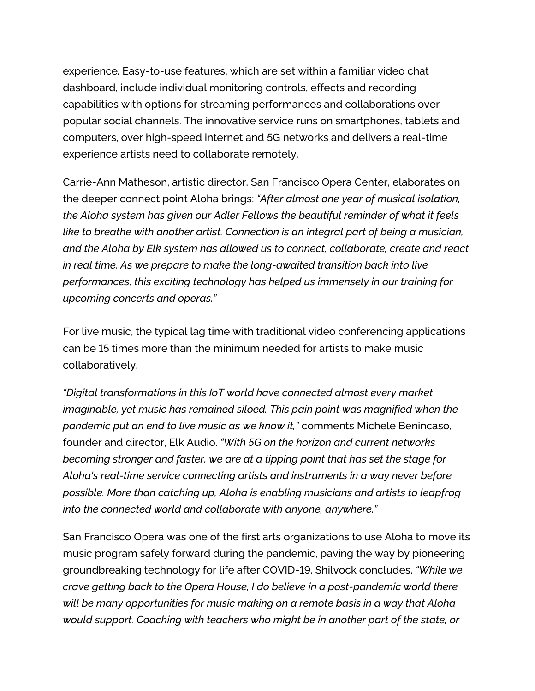experience*.* Easy-to-use features, which are set within a familiar video chat dashboard, include individual monitoring controls, effects and recording capabilities with options for streaming performances and collaborations over popular social channels. The innovative service runs on smartphones, tablets and computers, over high-speed internet and 5G networks and delivers a real-time experience artists need to collaborate remotely.

Carrie-Ann Matheson, artistic director, San Francisco Opera Center, elaborates on the deeper connect point Aloha brings: *"After almost one year of musical isolation, the Aloha system has given our Adler Fellows the beautiful reminder of what it feels like to breathe with another artist. Connection is an integral part of being a musician, and the Aloha by Elk system has allowed us to connect, collaborate, create and react in real time. As we prepare to make the long-awaited transition back into live performances, this exciting technology has helped us immensely in our training for upcoming concerts and operas."* 

For live music, the typical lag time with traditional video conferencing applications can be 15 times more than the minimum needed for artists to make music collaboratively.

*"Digital transformations in this IoT world have connected almost every market imaginable, yet music has remained siloed. This pain point was magnified when the pandemic put an end to live music as we know it,"* comments Michele Benincaso, founder and director, Elk Audio. *"With 5G on the horizon and current networks becoming stronger and faster, we are at a tipping point that has set the stage for Aloha's real-time service connecting artists and instruments in a way never before possible. More than catching up, Aloha is enabling musicians and artists to leapfrog into the connected world and collaborate with anyone, anywhere."* 

San Francisco Opera was one of the first arts organizations to use Aloha to move its music program safely forward during the pandemic, paving the way by pioneering groundbreaking technology for life after COVID-19. Shilvock concludes, *"While we crave getting back to the Opera House, I do believe in a post-pandemic world there will be many opportunities for music making on a remote basis in a way that Aloha would support. Coaching with teachers who might be in another part of the state, or*